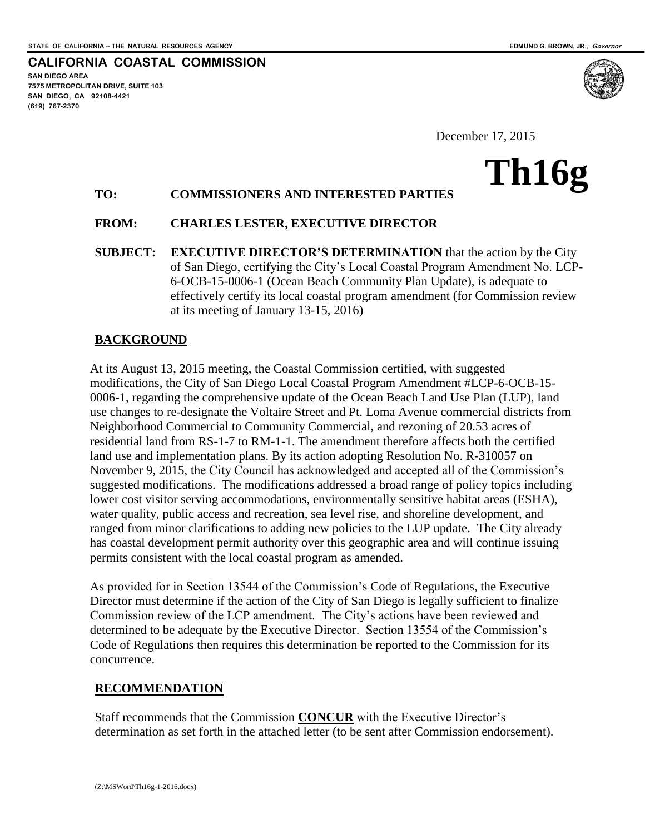**SAN DIEGO AREA**

**(619) 767-2370**

**7575 METROPOLITAN DRIVE, SUITE 103 SAN DIEGO, CA 92108-4421**

**CALIFORNIA COASTAL COMMISSION**

**Th16g**

December 17, 2015

# **TO: COMMISSIONERS AND INTERESTED PARTIES**

### **FROM: CHARLES LESTER, EXECUTIVE DIRECTOR**

**SUBJECT: EXECUTIVE DIRECTOR'S DETERMINATION** that the action by the City of San Diego, certifying the City's Local Coastal Program Amendment No. LCP-6-OCB-15-0006-1 (Ocean Beach Community Plan Update), is adequate to effectively certify its local coastal program amendment (for Commission review at its meeting of January 13-15, 2016)

### **BACKGROUND**

At its August 13, 2015 meeting, the Coastal Commission certified, with suggested modifications, the City of San Diego Local Coastal Program Amendment #LCP-6-OCB-15- 0006-1, regarding the comprehensive update of the Ocean Beach Land Use Plan (LUP), land use changes to re-designate the Voltaire Street and Pt. Loma Avenue commercial districts from Neighborhood Commercial to Community Commercial, and rezoning of 20.53 acres of residential land from RS-1-7 to RM-1-1. The amendment therefore affects both the certified land use and implementation plans. By its action adopting Resolution No. R-310057 on November 9, 2015, the City Council has acknowledged and accepted all of the Commission's suggested modifications. The modifications addressed a broad range of policy topics including lower cost visitor serving accommodations, environmentally sensitive habitat areas (ESHA), water quality, public access and recreation, sea level rise, and shoreline development, and ranged from minor clarifications to adding new policies to the LUP update. The City already has coastal development permit authority over this geographic area and will continue issuing permits consistent with the local coastal program as amended.

As provided for in Section 13544 of the Commission's Code of Regulations, the Executive Director must determine if the action of the City of San Diego is legally sufficient to finalize Commission review of the LCP amendment. The City's actions have been reviewed and determined to be adequate by the Executive Director. Section 13554 of the Commission's Code of Regulations then requires this determination be reported to the Commission for its concurrence.

#### **RECOMMENDATION**

Staff recommends that the Commission **CONCUR** with the Executive Director's determination as set forth in the attached letter (to be sent after Commission endorsement).